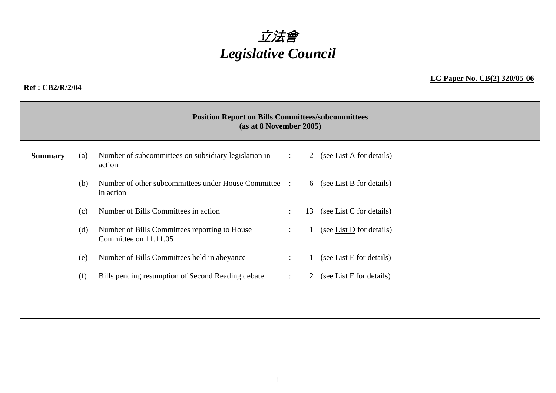

#### **Ref : CB2/R/2/04**

#### **LC Paper No. CB(2) 320/05-06**

|                | <b>Position Report on Bills Committees/subcommittees</b><br>(as at 8 November 2005) |                                                                        |                      |    |                            |  |  |  |
|----------------|-------------------------------------------------------------------------------------|------------------------------------------------------------------------|----------------------|----|----------------------------|--|--|--|
| <b>Summary</b> | (a)                                                                                 | Number of subcommittees on subsidiary legislation in<br>action         | $\ddot{\phantom{a}}$ | 2  | (see List A for details)   |  |  |  |
|                | (b)                                                                                 | Number of other subcommittees under House Committee :<br>in action     |                      |    | 6 (see List B for details) |  |  |  |
|                | (c)                                                                                 | Number of Bills Committees in action                                   | $\bullet$            | 13 | (see List C for details)   |  |  |  |
|                | (d)                                                                                 | Number of Bills Committees reporting to House<br>Committee on 11.11.05 | $\ddot{\phantom{a}}$ |    | (see List D for details)   |  |  |  |
|                | (e)                                                                                 | Number of Bills Committees held in abeyance                            |                      |    | (see List $E$ for details) |  |  |  |
|                | (f)                                                                                 | Bills pending resumption of Second Reading debate                      | $\ddot{\phantom{a}}$ | 2  | (see List F for details)   |  |  |  |
|                |                                                                                     |                                                                        |                      |    |                            |  |  |  |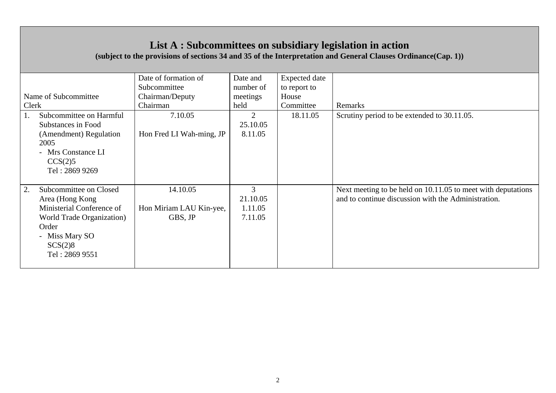## **List A : Subcommittees on subsidiary legislation in action**

**(subject to the provisions of sections 34 and 35 of the Interpretation and General Clauses Ordinance(Cap. 1))** 

| Clerk       | Name of Subcommittee                                                                                                                                | Date of formation of<br>Subcommittee<br>Chairman/Deputy<br>Chairman | Date and<br>number of<br>meetings<br>held | <b>Expected</b> date<br>to report to<br>House<br>Committee | Remarks                                                                                                             |
|-------------|-----------------------------------------------------------------------------------------------------------------------------------------------------|---------------------------------------------------------------------|-------------------------------------------|------------------------------------------------------------|---------------------------------------------------------------------------------------------------------------------|
| 1.<br>2005  | Subcommittee on Harmful<br>Substances in Food<br>(Amendment) Regulation<br>- Mrs Constance LI<br>CCS(2)5<br>Tel: 2869 9269                          | 7.10.05<br>Hon Fred LI Wah-ming, JP                                 | $\overline{2}$<br>25.10.05<br>8.11.05     | 18.11.05                                                   | Scrutiny period to be extended to 30.11.05.                                                                         |
| 2.<br>Order | Subcommittee on Closed<br>Area (Hong Kong)<br>Ministerial Conference of<br>World Trade Organization)<br>- Miss Mary SO<br>SCS(2)8<br>Tel: 2869 9551 | 14.10.05<br>Hon Miriam LAU Kin-yee,<br>GBS, JP                      | 3<br>21.10.05<br>1.11.05<br>7.11.05       |                                                            | Next meeting to be held on 10.11.05 to meet with deputations<br>and to continue discussion with the Administration. |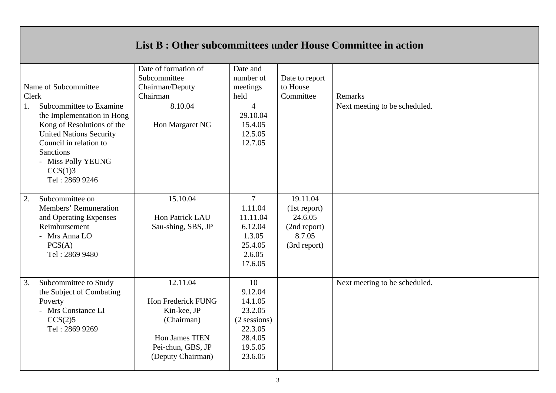### **List B : Other subcommittees under House Committee in action**

|                                | Date of formation of | Date and       |                |                               |
|--------------------------------|----------------------|----------------|----------------|-------------------------------|
|                                | Subcommittee         | number of      | Date to report |                               |
| Name of Subcommittee           | Chairman/Deputy      | meetings       | to House       |                               |
| Clerk                          | Chairman             | held           | Committee      | Remarks                       |
| Subcommittee to Examine<br>1.  | 8.10.04              | $\overline{4}$ |                | Next meeting to be scheduled. |
| the Implementation in Hong     |                      | 29.10.04       |                |                               |
| Kong of Resolutions of the     | Hon Margaret NG      | 15.4.05        |                |                               |
| <b>United Nations Security</b> |                      | 12.5.05        |                |                               |
| Council in relation to         |                      | 12.7.05        |                |                               |
| <b>Sanctions</b>               |                      |                |                |                               |
| - Miss Polly YEUNG             |                      |                |                |                               |
| CCS(1)3                        |                      |                |                |                               |
| Tel: 2869 9246                 |                      |                |                |                               |
|                                |                      |                |                |                               |
| 2.<br>Subcommittee on          | 15.10.04             | $\overline{7}$ | 19.11.04       |                               |
| Members' Remuneration          |                      | 1.11.04        | (1st report)   |                               |
| and Operating Expenses         | Hon Patrick LAU      | 11.11.04       | 24.6.05        |                               |
| Reimbursement                  | Sau-shing, SBS, JP   | 6.12.04        | (2nd report)   |                               |
| - Mrs Anna LO                  |                      | 1.3.05         | 8.7.05         |                               |
| PCS(A)                         |                      | 25.4.05        | (3rd report)   |                               |
| Tel: 2869 9480                 |                      | 2.6.05         |                |                               |
|                                |                      | 17.6.05        |                |                               |
|                                |                      |                |                |                               |
| 3.<br>Subcommittee to Study    | 12.11.04             | 10             |                | Next meeting to be scheduled. |
| the Subject of Combating       |                      | 9.12.04        |                |                               |
| Poverty                        | Hon Frederick FUNG   | 14.1.05        |                |                               |
| - Mrs Constance LI             | Kin-kee, JP          | 23.2.05        |                |                               |
| CCS(2)5                        | (Chairman)           | $(2$ sessions) |                |                               |
| Tel: 2869 9269                 |                      | 22.3.05        |                |                               |
|                                | Hon James TIEN       | 28.4.05        |                |                               |
|                                | Pei-chun, GBS, JP    | 19.5.05        |                |                               |
|                                | (Deputy Chairman)    | 23.6.05        |                |                               |
|                                |                      |                |                |                               |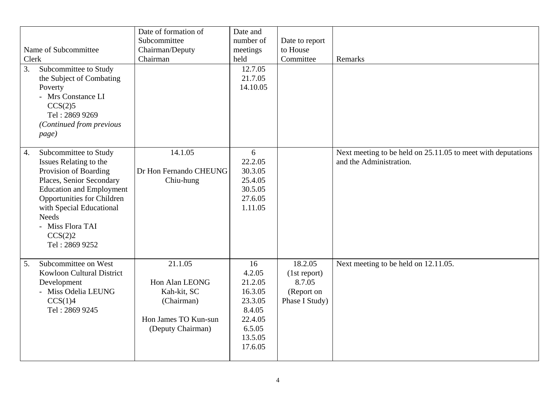| Clerk<br>3.      | Name of Subcommittee<br>Subcommittee to Study<br>the Subject of Combating<br>Poverty<br>- Mrs Constance LI<br>CCS(2)5<br>Tel: 2869 9269<br>(Continued from previous<br>page)                                                                                       | Date of formation of<br>Subcommittee<br>Chairman/Deputy<br>Chairman                                 | Date and<br>number of<br>meetings<br>held<br>12.7.05<br>21.7.05<br>14.10.05                        | Date to report<br>to House<br>Committee                           | Remarks                                                                                 |
|------------------|--------------------------------------------------------------------------------------------------------------------------------------------------------------------------------------------------------------------------------------------------------------------|-----------------------------------------------------------------------------------------------------|----------------------------------------------------------------------------------------------------|-------------------------------------------------------------------|-----------------------------------------------------------------------------------------|
| $\overline{4}$ . | Subcommittee to Study<br>Issues Relating to the<br>Provision of Boarding<br>Places, Senior Secondary<br><b>Education and Employment</b><br>Opportunities for Children<br>with Special Educational<br><b>Needs</b><br>- Miss Flora TAI<br>CCS(2)2<br>Tel: 2869 9252 | 14.1.05<br>Dr Hon Fernando CHEUNG<br>Chiu-hung                                                      | 6<br>22.2.05<br>30.3.05<br>25.4.05<br>30.5.05<br>27.6.05<br>1.11.05                                |                                                                   | Next meeting to be held on 25.11.05 to meet with deputations<br>and the Administration. |
| 5.               | Subcommittee on West<br>Kowloon Cultural District<br>Development<br>- Miss Odelia LEUNG<br>CCS(1)4<br>Tel: 2869 9245                                                                                                                                               | 21.1.05<br>Hon Alan LEONG<br>Kah-kit, SC<br>(Chairman)<br>Hon James TO Kun-sun<br>(Deputy Chairman) | 16<br>4.2.05<br>21.2.05<br>16.3.05<br>23.3.05<br>8.4.05<br>22.4.05<br>6.5.05<br>13.5.05<br>17.6.05 | 18.2.05<br>(1st report)<br>8.7.05<br>(Report on<br>Phase I Study) | Next meeting to be held on 12.11.05.                                                    |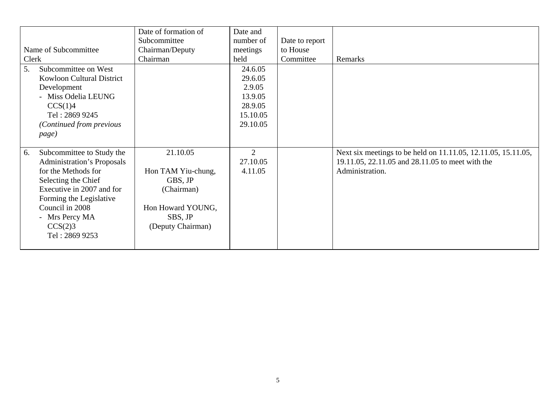|                                   | Date of formation of | Date and       |                |                                                               |
|-----------------------------------|----------------------|----------------|----------------|---------------------------------------------------------------|
|                                   | Subcommittee         | number of      | Date to report |                                                               |
| Name of Subcommittee              | Chairman/Deputy      | meetings       | to House       |                                                               |
| Clerk                             | Chairman             | held           | Committee      | Remarks                                                       |
| 5.<br>Subcommittee on West        |                      | 24.6.05        |                |                                                               |
| <b>Kowloon Cultural District</b>  |                      | 29.6.05        |                |                                                               |
| Development                       |                      | 2.9.05         |                |                                                               |
| - Miss Odelia LEUNG               |                      | 13.9.05        |                |                                                               |
| CCS(1)4                           |                      | 28.9.05        |                |                                                               |
| Tel: 2869 9245                    |                      | 15.10.05       |                |                                                               |
| (Continued from previous          |                      | 29.10.05       |                |                                                               |
| page)                             |                      |                |                |                                                               |
|                                   |                      |                |                |                                                               |
| Subcommittee to Study the<br>6.   | 21.10.05             | $\overline{2}$ |                | Next six meetings to be held on 11.11.05, 12.11.05, 15.11.05, |
| <b>Administration's Proposals</b> |                      | 27.10.05       |                | 19.11.05, 22.11.05 and 28.11.05 to meet with the              |
| for the Methods for               | Hon TAM Yiu-chung,   | 4.11.05        |                | Administration.                                               |
| Selecting the Chief               | GBS, JP              |                |                |                                                               |
| Executive in 2007 and for         | (Chairman)           |                |                |                                                               |
| Forming the Legislative           |                      |                |                |                                                               |
| Council in 2008                   | Hon Howard YOUNG,    |                |                |                                                               |
| - Mrs Percy MA                    | SBS, JP              |                |                |                                                               |
| CCS(2)3                           | (Deputy Chairman)    |                |                |                                                               |
| Tel: 2869 9253                    |                      |                |                |                                                               |
|                                   |                      |                |                |                                                               |
|                                   |                      |                |                |                                                               |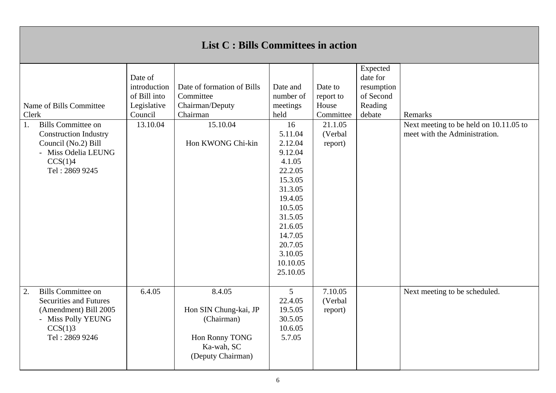## **List C : Bills Committees in action**

| 1. | Name of Bills Committee<br>Clerk<br><b>Bills Committee on</b><br><b>Construction Industry</b><br>Council (No.2) Bill<br>- Miss Odelia LEUNG<br>CCS(1)4<br>Tel: 2869 9245 | Date of<br>introduction<br>of Bill into<br>Legislative<br>Council<br>13.10.04 | Date of formation of Bills<br>Committee<br>Chairman/Deputy<br>Chairman<br>15.10.04<br>Hon KWONG Chi-kin | Date and<br>number of<br>meetings<br>held<br>16<br>5.11.04<br>2.12.04<br>9.12.04<br>4.1.05<br>22.2.05<br>15.3.05<br>31.3.05<br>19.4.05<br>10.5.05<br>31.5.05<br>21.6.05<br>14.7.05<br>20.7.05<br>3.10.05<br>10.10.05<br>25.10.05 | Date to<br>report to<br>House<br>Committee<br>21.1.05<br>(Verbal<br>report) | Expected<br>date for<br>resumption<br>of Second<br>Reading<br>debate | Remarks<br>Next meeting to be held on 10.11.05 to<br>meet with the Administration. |
|----|--------------------------------------------------------------------------------------------------------------------------------------------------------------------------|-------------------------------------------------------------------------------|---------------------------------------------------------------------------------------------------------|----------------------------------------------------------------------------------------------------------------------------------------------------------------------------------------------------------------------------------|-----------------------------------------------------------------------------|----------------------------------------------------------------------|------------------------------------------------------------------------------------|
| 2. | <b>Bills Committee on</b><br><b>Securities and Futures</b><br>(Amendment) Bill 2005<br>- Miss Polly YEUNG<br>CCS(1)3<br>Tel: 2869 9246                                   | 6.4.05                                                                        | 8.4.05<br>Hon SIN Chung-kai, JP<br>(Chairman)<br>Hon Ronny TONG<br>Ka-wah, SC<br>(Deputy Chairman)      | 5<br>22.4.05<br>19.5.05<br>30.5.05<br>10.6.05<br>5.7.05                                                                                                                                                                          | 7.10.05<br>(Verbal<br>report)                                               |                                                                      | Next meeting to be scheduled.                                                      |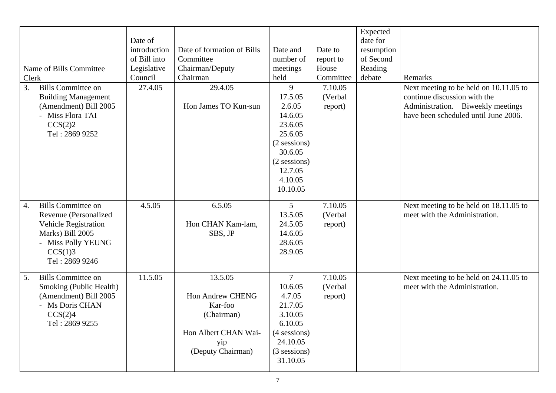|                                 |              |                            |                |           | Expected   |                                        |
|---------------------------------|--------------|----------------------------|----------------|-----------|------------|----------------------------------------|
|                                 | Date of      |                            |                |           | date for   |                                        |
|                                 | introduction | Date of formation of Bills | Date and       | Date to   | resumption |                                        |
|                                 | of Bill into | Committee                  | number of      | report to | of Second  |                                        |
| Name of Bills Committee         | Legislative  | Chairman/Deputy            | meetings       | House     | Reading    |                                        |
| Clerk                           | Council      | Chairman                   | held           | Committee | debate     | Remarks                                |
| 3.<br><b>Bills Committee on</b> | 27.4.05      | 29.4.05                    | 9              | 7.10.05   |            | Next meeting to be held on 10.11.05 to |
| <b>Building Management</b>      |              |                            | 17.5.05        | (Verbal)  |            | continue discussion with the           |
| (Amendment) Bill 2005           |              | Hon James TO Kun-sun       | 2.6.05         |           |            | Administration. Biweekly meetings      |
| - Miss Flora TAI                |              |                            | 14.6.05        | report)   |            | have been scheduled until June 2006.   |
| CCS(2)2                         |              |                            | 23.6.05        |           |            |                                        |
| Tel: 2869 9252                  |              |                            | 25.6.05        |           |            |                                        |
|                                 |              |                            | (2 sessions)   |           |            |                                        |
|                                 |              |                            | 30.6.05        |           |            |                                        |
|                                 |              |                            | (2 sessions)   |           |            |                                        |
|                                 |              |                            | 12.7.05        |           |            |                                        |
|                                 |              |                            | 4.10.05        |           |            |                                        |
|                                 |              |                            | 10.10.05       |           |            |                                        |
|                                 |              |                            |                |           |            |                                        |
| <b>Bills Committee on</b><br>4. | 4.5.05       | 6.5.05                     | 5              | 7.10.05   |            | Next meeting to be held on 18.11.05 to |
| Revenue (Personalized           |              |                            | 13.5.05        | (Verbal   |            | meet with the Administration.          |
| Vehicle Registration            |              | Hon CHAN Kam-lam,          | 24.5.05        | report)   |            |                                        |
| Marks) Bill 2005                |              | SBS, JP                    | 14.6.05        |           |            |                                        |
| - Miss Polly YEUNG              |              |                            | 28.6.05        |           |            |                                        |
| CCS(1)3                         |              |                            | 28.9.05        |           |            |                                        |
| Tel: 2869 9246                  |              |                            |                |           |            |                                        |
|                                 |              |                            |                |           |            |                                        |
| <b>Bills Committee on</b><br>5. | 11.5.05      | 13.5.05                    | $\overline{7}$ | 7.10.05   |            | Next meeting to be held on 24.11.05 to |
| Smoking (Public Health)         |              |                            | 10.6.05        | (Verbal   |            | meet with the Administration.          |
| (Amendment) Bill 2005           |              | <b>Hon Andrew CHENG</b>    | 4.7.05         | report)   |            |                                        |
| - Ms Doris CHAN                 |              | Kar-foo                    | 21.7.05        |           |            |                                        |
| CCS(2)4                         |              | (Chairman)                 | 3.10.05        |           |            |                                        |
| Tel: 2869 9255                  |              |                            | 6.10.05        |           |            |                                        |
|                                 |              | Hon Albert CHAN Wai-       | (4 sessions)   |           |            |                                        |
|                                 |              | yip                        | 24.10.05       |           |            |                                        |
|                                 |              | (Deputy Chairman)          | (3 sessions)   |           |            |                                        |
|                                 |              |                            | 31.10.05       |           |            |                                        |
|                                 |              |                            |                |           |            |                                        |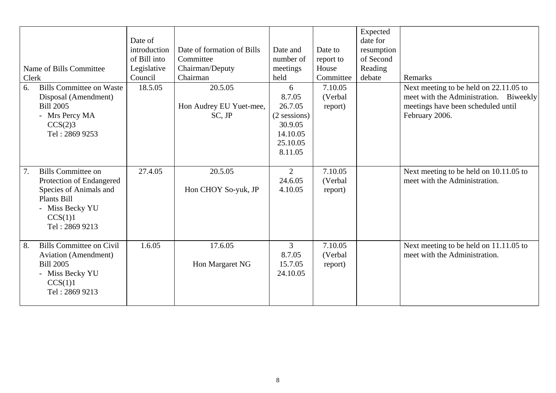| Clerk<br>6. | Name of Bills Committee<br><b>Bills Committee on Waste</b><br>Disposal (Amendment)<br><b>Bill 2005</b><br>- Mrs Percy MA<br>CCS(2)3<br>Tel: 2869 9253 | Date of<br>introduction<br>of Bill into<br>Legislative<br>Council<br>18.5.05 | Date of formation of Bills<br>Committee<br>Chairman/Deputy<br>Chairman<br>20.5.05<br>Hon Audrey EU Yuet-mee,<br>$SC$ , $JP$ | Date and<br>number of<br>meetings<br>held<br>6<br>8.7.05<br>26.7.05<br>(2 sessions)<br>30.9.05<br>14.10.05<br>25.10.05 | Date to<br>report to<br>House<br>Committee<br>7.10.05<br>(Verbal<br>report) | Expected<br>date for<br>resumption<br>of Second<br>Reading<br>debate | Remarks<br>Next meeting to be held on 22.11.05 to<br>meet with the Administration. Biweekly<br>meetings have been scheduled until<br>February 2006. |
|-------------|-------------------------------------------------------------------------------------------------------------------------------------------------------|------------------------------------------------------------------------------|-----------------------------------------------------------------------------------------------------------------------------|------------------------------------------------------------------------------------------------------------------------|-----------------------------------------------------------------------------|----------------------------------------------------------------------|-----------------------------------------------------------------------------------------------------------------------------------------------------|
| 7.          | <b>Bills Committee on</b><br>Protection of Endangered<br>Species of Animals and<br>Plants Bill<br>- Miss Becky YU<br>CCS(1)1<br>Tel: 2869 9213        | 27.4.05                                                                      | 20.5.05<br>Hon CHOY So-yuk, JP                                                                                              | 8.11.05<br>$\overline{2}$<br>24.6.05<br>4.10.05                                                                        | 7.10.05<br>(Verbal<br>report)                                               |                                                                      | Next meeting to be held on 10.11.05 to<br>meet with the Administration.                                                                             |
| 8.          | <b>Bills Committee on Civil</b><br>Aviation (Amendment)<br><b>Bill 2005</b><br>- Miss Becky YU<br>CCS(1)1<br>Tel: 2869 9213                           | 1.6.05                                                                       | 17.6.05<br>Hon Margaret NG                                                                                                  | 3<br>8.7.05<br>15.7.05<br>24.10.05                                                                                     | 7.10.05<br>(Verbal<br>report)                                               |                                                                      | Next meeting to be held on 11.11.05 to<br>meet with the Administration.                                                                             |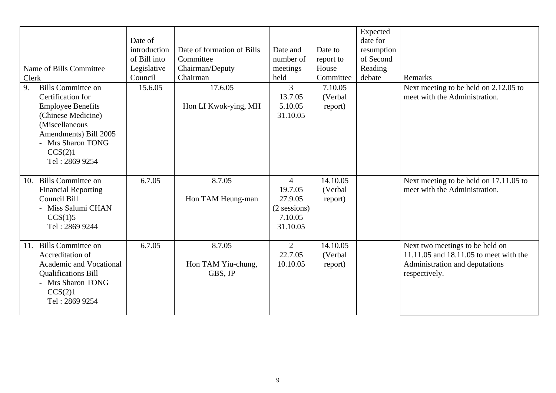| Name of Bills Committee<br>Clerk<br><b>Bills Committee on</b><br>9.<br>Certification for<br><b>Employee Benefits</b><br>(Chinese Medicine)<br>(Miscellaneous<br>Amendments) Bill 2005<br>- Mrs Sharon TONG<br>CCS(2)1 | Date of<br>introduction<br>of Bill into<br>Legislative<br>Council<br>15.6.05 | Date of formation of Bills<br>Committee<br>Chairman/Deputy<br>Chairman<br>17.6.05<br>Hon LI Kwok-ying, MH | Date and<br>number of<br>meetings<br>held<br>3<br>13.7.05<br>5.10.05<br>31.10.05 | Date to<br>report to<br>House<br>Committee<br>7.10.05<br>(Verbal<br>report) | Expected<br>date for<br>resumption<br>of Second<br>Reading<br>debate | Remarks<br>Next meeting to be held on 2.12.05 to<br>meet with the Administration.                                            |
|-----------------------------------------------------------------------------------------------------------------------------------------------------------------------------------------------------------------------|------------------------------------------------------------------------------|-----------------------------------------------------------------------------------------------------------|----------------------------------------------------------------------------------|-----------------------------------------------------------------------------|----------------------------------------------------------------------|------------------------------------------------------------------------------------------------------------------------------|
| Tel: 2869 9254<br><b>Bills Committee on</b><br>10.<br><b>Financial Reporting</b><br>Council Bill<br>- Miss Salumi CHAN<br>CCS(1)5<br>Tel: 2869 9244                                                                   | 6.7.05                                                                       | 8.7.05<br>Hon TAM Heung-man                                                                               | $\overline{4}$<br>19.7.05<br>27.9.05<br>(2 sessions)<br>7.10.05<br>31.10.05      | 14.10.05<br>(Verbal<br>report)                                              |                                                                      | Next meeting to be held on 17.11.05 to<br>meet with the Administration.                                                      |
| <b>Bills Committee on</b><br>11.<br>Accreditation of<br>Academic and Vocational<br><b>Qualifications Bill</b><br>- Mrs Sharon TONG<br>CCS(2)1<br>Tel: 2869 9254                                                       | 6.7.05                                                                       | 8.7.05<br>Hon TAM Yiu-chung,<br>GBS, JP                                                                   | $\overline{2}$<br>22.7.05<br>10.10.05                                            | 14.10.05<br>(Verbal<br>report)                                              |                                                                      | Next two meetings to be held on<br>11.11.05 and 18.11.05 to meet with the<br>Administration and deputations<br>respectively. |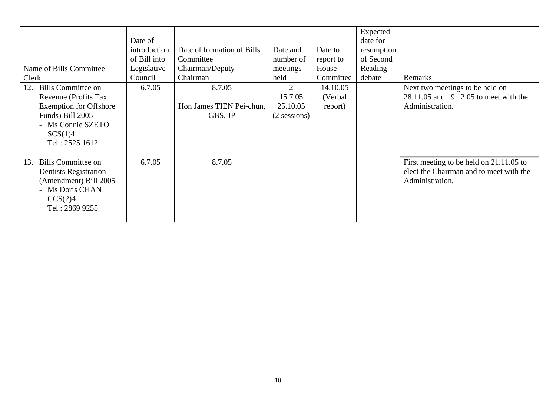| Name of Bills Committee<br>Clerk                                                                                                                      | Date of<br>introduction<br>of Bill into<br>Legislative<br>Council | Date of formation of Bills<br>Committee<br>Chairman/Deputy<br>Chairman | Date and<br>number of<br>meetings<br>held | Date to<br>report to<br>House<br>Committee | Expected<br>date for<br>resumption<br>of Second<br>Reading<br>debate | Remarks                                                                                               |
|-------------------------------------------------------------------------------------------------------------------------------------------------------|-------------------------------------------------------------------|------------------------------------------------------------------------|-------------------------------------------|--------------------------------------------|----------------------------------------------------------------------|-------------------------------------------------------------------------------------------------------|
| 12. Bills Committee on<br>Revenue (Profits Tax<br><b>Exemption for Offshore</b><br>Funds) Bill 2005<br>- Ms Connie SZETO<br>SCS(1)4<br>Tel: 2525 1612 | 6.7.05                                                            | 8.7.05<br>Hon James TIEN Pei-chun,<br>GBS, JP                          | 2<br>15.7.05<br>25.10.05<br>(2 sessions)  | 14.10.05<br>(Verbal)<br>report)            |                                                                      | Next two meetings to be held on<br>28.11.05 and 19.12.05 to meet with the<br>Administration.          |
| Bills Committee on<br>13.<br><b>Dentists Registration</b><br>(Amendment) Bill 2005<br>- Ms Doris CHAN<br>CCS(2)4<br>Tel: 2869 9255                    | 6.7.05                                                            | 8.7.05                                                                 |                                           |                                            |                                                                      | First meeting to be held on 21.11.05 to<br>elect the Chairman and to meet with the<br>Administration. |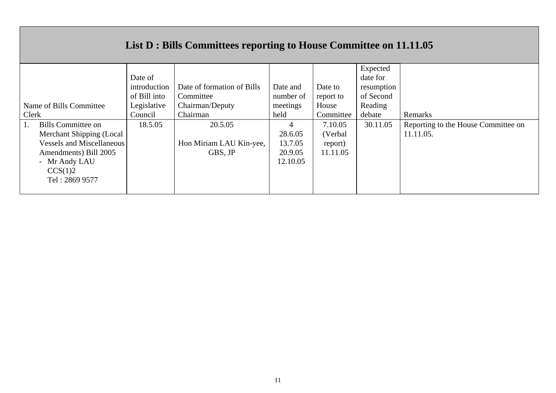# **List D : Bills Committees reporting to House Committee on 11.11.05**

|                                 |              |                            |           |           | Expected   |                                     |
|---------------------------------|--------------|----------------------------|-----------|-----------|------------|-------------------------------------|
|                                 |              |                            |           |           |            |                                     |
|                                 | Date of      |                            |           |           | date for   |                                     |
|                                 | introduction | Date of formation of Bills | Date and  | Date to   | resumption |                                     |
|                                 | of Bill into | Committee                  | number of | report to | of Second  |                                     |
| Name of Bills Committee         | Legislative  | Chairman/Deputy            | meetings  | House     | Reading    |                                     |
| Clerk                           | Council      | Chairman                   | held      | Committee | debate     | Remarks                             |
| <b>Bills Committee on</b><br>Ι. | 18.5.05      | 20.5.05                    |           | 7.10.05   | 30.11.05   | Reporting to the House Committee on |
| Merchant Shipping (Local        |              |                            | 28.6.05   | (Verbal   |            | 11.11.05.                           |
| Vessels and Miscellaneous       |              | Hon Miriam LAU Kin-yee,    | 13.7.05   | report)   |            |                                     |
| Amendments) Bill 2005           |              | GBS, JP                    | 20.9.05   | 11.11.05  |            |                                     |
| - Mr Andy LAU                   |              |                            | 12.10.05  |           |            |                                     |
| CCS(1)2                         |              |                            |           |           |            |                                     |
| Tel: 2869 9577                  |              |                            |           |           |            |                                     |
|                                 |              |                            |           |           |            |                                     |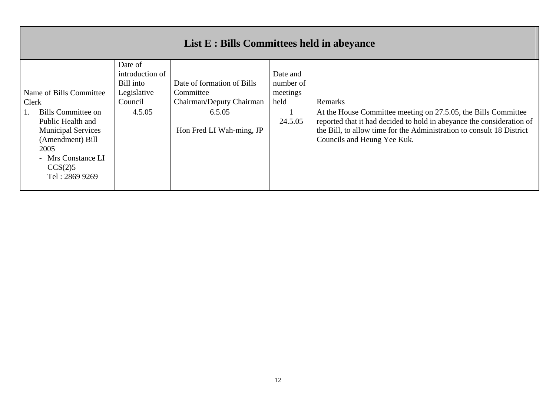# **List E : Bills Committees held in abeyance**

|       |                           | Date of         |                            |           |                                                                       |
|-------|---------------------------|-----------------|----------------------------|-----------|-----------------------------------------------------------------------|
|       |                           | introduction of |                            | Date and  |                                                                       |
|       |                           | Bill into       | Date of formation of Bills | number of |                                                                       |
|       | Name of Bills Committee   | Legislative     | Committee                  | meetings  |                                                                       |
| Clerk |                           | Council         | Chairman/Deputy Chairman   | held      | Remarks                                                               |
|       | Bills Committee on        | 4.5.05          | 6.5.05                     |           | At the House Committee meeting on 27.5.05, the Bills Committee        |
|       | Public Health and         |                 |                            | 24.5.05   | reported that it had decided to hold in abeyance the consideration of |
|       | <b>Municipal Services</b> |                 | Hon Fred LI Wah-ming, JP   |           | the Bill, to allow time for the Administration to consult 18 District |
|       | (Amendment) Bill          |                 |                            |           | Councils and Heung Yee Kuk.                                           |
|       | 2005                      |                 |                            |           |                                                                       |
|       | - Mrs Constance LI        |                 |                            |           |                                                                       |
|       | CCS(2)5                   |                 |                            |           |                                                                       |
|       | Tel: 2869 9269            |                 |                            |           |                                                                       |
|       |                           |                 |                            |           |                                                                       |